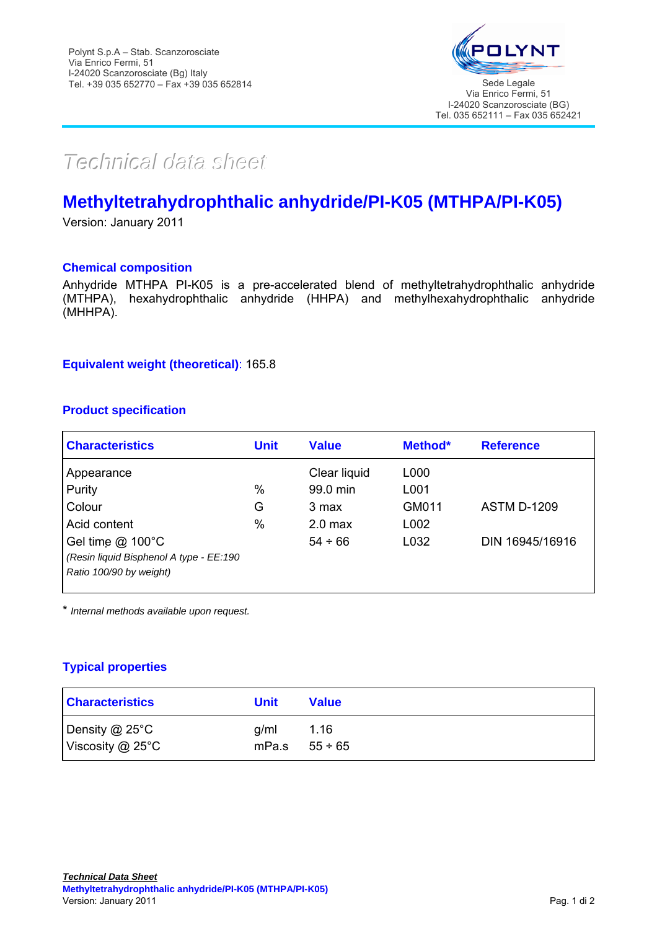

# *TTeecchhnniiccaall ddaattaa sshheeeett*

# **Methyltetrahydrophthalic anhydride/PI-K05 (MTHPA/PI-K05)**

Version: January 2011

#### **Chemical composition**

Anhydride MTHPA PI-K05 is a pre-accelerated blend of methyltetrahydrophthalic anhydride (MTHPA), hexahydrophthalic anhydride (HHPA) and methylhexahydrophthalic anhydride (MHHPA).

#### **Equivalent weight (theoretical)**: 165.8

# **Product specification**

| <b>Characteristics</b>                  | <b>Unit</b> | <b>Value</b>       | Method* | <b>Reference</b>   |
|-----------------------------------------|-------------|--------------------|---------|--------------------|
| Appearance                              |             | Clear liquid       | L000    |                    |
| Purity                                  | %           | 99.0 min           | L001    |                    |
| Colour                                  | G           | 3 max              | GM011   | <b>ASTM D-1209</b> |
| Acid content                            | %           | 2.0 <sub>max</sub> | L002    |                    |
| Gel time $@$ 100 $°C$                   |             | $54 \div 66$       | L032    | DIN 16945/16916    |
| (Resin liquid Bisphenol A type - EE:190 |             |                    |         |                    |
| Ratio 100/90 by weight)                 |             |                    |         |                    |
|                                         |             |                    |         |                    |

\* *Internal methods available upon request.* 

# **Typical properties**

| <b>Characteristics</b>                  | Unit                       | <b>Value</b> |
|-----------------------------------------|----------------------------|--------------|
| Density @ 25°C<br>Viscosity $@$ 25 $°C$ | a/ml<br>mPa.s $55 \div 65$ | 1.16         |